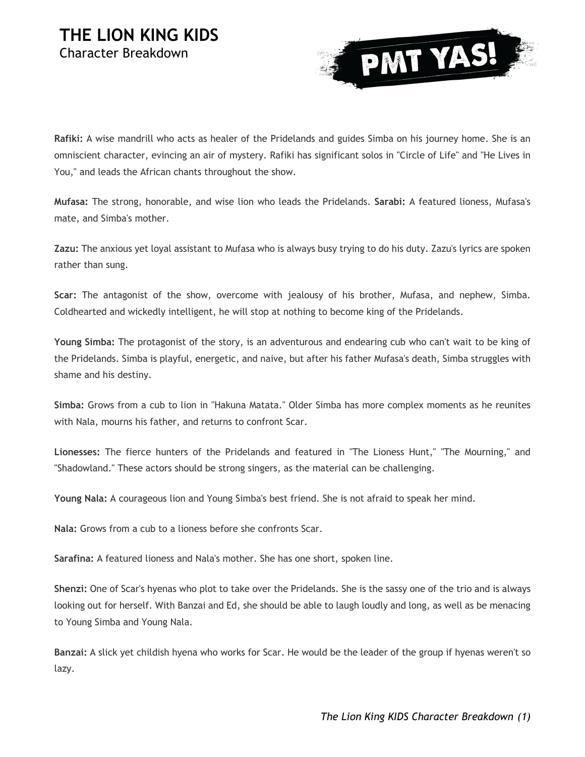## **THE LION KING KIDS** Character Breakdown



**Rafiki:** A wise mandrill who acts as healer of the Pridelands and guides Simba on his journey home. She is an omniscient character, evincing an air of mystery. Rafiki has significant solos in "Circle of Life" and "He Lives in You," and leads the African chants throughout the show.

**Mufasa:** The strong, honorable, and wise lion who leads the Pridelands. **Sarabi:** A featured lioness, Mufasa's mate, and Simba's mother.

**Zazu:** The anxious yet loyal assistant to Mufasa who is always busy trying to do his duty. Zazu's lyrics are spoken rather than sung.

**Scar:** The antagonist of the show, overcome with jealousy of his brother, Mufasa, and nephew, Simba. Coldhearted and wickedly intelligent, he will stop at nothing to become king of the Pridelands.

**Young Simba:** The protagonist of the story, is an adventurous and endearing cub who can't wait to be king of the Pridelands. Simba is playful, energetic, and naive, but after his father Mufasa's death, Simba struggles with shame and his destiny.

**Simba:** Grows from a cub to lion in "Hakuna Matata." Older Simba has more complex moments as he reunites with Nala, mourns his father, and returns to confront Scar.

**Lionesses:** The fierce hunters of the Pridelands and featured in "The Lioness Hunt," "The Mourning," and "Shadowland." These actors should be strong singers, as the material can be challenging.

**Young Nala:** A courageous lion and Young Simba's best friend. She is not afraid to speak her mind.

**Nala:** Grows from a cub to a lioness before she confronts Scar.

**Sarafina:** A featured lioness and Nala's mother. She has one short, spoken line.

**Shenzi:** One of Scar's hyenas who plot to take over the Pridelands. She is the sassy one of the trio and is always looking out for herself. With Banzai and Ed, she should be able to laugh loudly and long, as well as be menacing to Young Simba and Young Nala.

**Banzai:** A slick yet childish hyena who works for Scar. He would be the leader of the group if hyenas weren't so lazy.